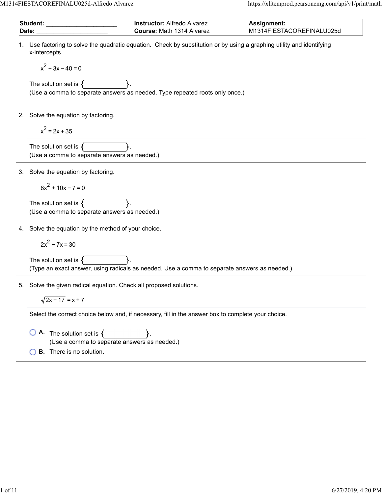M1314FIESTACOREFINALU025d-Alfredo Alvarez https://xlitemprod.pearsoncmg.com/api/v1/print/math

|    | Student:<br><b>Instructor: Alfredo Alvarez</b><br>Assignment:                                                                                               |
|----|-------------------------------------------------------------------------------------------------------------------------------------------------------------|
|    | Course: Math 1314 Alvarez<br>M1314FIESTACOREFINALU025d<br>Date:                                                                                             |
|    | Use factoring to solve the quadratic equation. Check by substitution or by using a graphing utility and identifying<br>x-intercepts.<br>$x^2 - 3x - 40 = 0$ |
|    | The solution set is $\{$<br>(Use a comma to separate answers as needed. Type repeated roots only once.)                                                     |
|    | 2. Solve the equation by factoring.                                                                                                                         |
|    | $x^2 = 2x + 35$                                                                                                                                             |
|    | The solution set is $\{$<br>(Use a comma to separate answers as needed.)                                                                                    |
|    | 3. Solve the equation by factoring.                                                                                                                         |
|    | $8x^{2}$ + 10x - 7 = 0                                                                                                                                      |
|    | The solution set is $\{$<br>(Use a comma to separate answers as needed.)                                                                                    |
|    | 4. Solve the equation by the method of your choice.                                                                                                         |
|    | $2x^2 - 7x = 30$                                                                                                                                            |
|    | The solution set is $\{$<br>(Type an exact answer, using radicals as needed. Use a comma to separate answers as needed.)                                    |
| 5. | Solve the given radical equation. Check all proposed solutions.                                                                                             |
|    | $\sqrt{2x + 17} = x + 7$                                                                                                                                    |
|    | Select the correct choice below and, if necessary, fill in the answer box to complete your choice.                                                          |
|    | <b>A.</b> The solution set is $\{$<br>(Use a comma to separate answers as needed.)                                                                          |
|    | <b>B.</b> There is no solution.                                                                                                                             |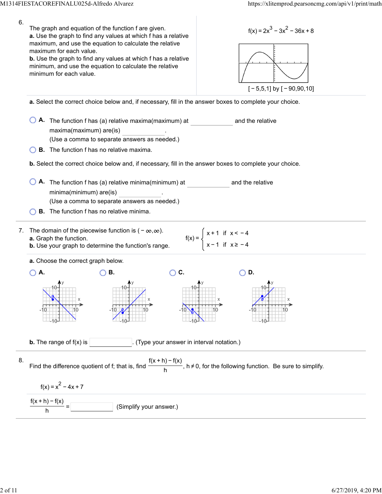| 6. | The graph and equation of the function f are given.<br>$f(x) = 2x^3 - 3x^2 - 36x + 8$<br>a. Use the graph to find any values at which f has a relative<br>maximum, and use the equation to calculate the relative<br>maximum for each value.<br><b>b.</b> Use the graph to find any values at which f has a relative<br>minimum, and use the equation to calculate the relative<br>minimum for each value.<br>$[-5,5,1]$ by $[-90,90,10]$ |  |  |
|----|-------------------------------------------------------------------------------------------------------------------------------------------------------------------------------------------------------------------------------------------------------------------------------------------------------------------------------------------------------------------------------------------------------------------------------------------|--|--|
|    | a. Select the correct choice below and, if necessary, fill in the answer boxes to complete your choice.                                                                                                                                                                                                                                                                                                                                   |  |  |
|    | A. The function f has (a) relative maxima(maximum) at<br>and the relative<br>maxima(maximum) are(is)<br>(Use a comma to separate answers as needed.)<br><b>B.</b> The function f has no relative maxima.                                                                                                                                                                                                                                  |  |  |
|    | <b>b.</b> Select the correct choice below and, if necessary, fill in the answer boxes to complete your choice.                                                                                                                                                                                                                                                                                                                            |  |  |
|    | A. The function f has (a) relative minima(minimum) at<br>and the relative<br>minima(minimum) are(is)<br>(Use a comma to separate answers as needed.)<br><b>B.</b> The function f has no relative minima.                                                                                                                                                                                                                                  |  |  |
|    |                                                                                                                                                                                                                                                                                                                                                                                                                                           |  |  |
| 7. | The domain of the piecewise function is $(-\infty,\infty)$ .<br>$f(x) = \begin{cases} x + 1 & \text{if } x < -4 \\ x - 1 & \text{if } x \ge -4 \end{cases}$<br>a. Graph the function.<br><b>b.</b> Use your graph to determine the function's range.                                                                                                                                                                                      |  |  |
|    | a. Choose the correct graph below.                                                                                                                                                                                                                                                                                                                                                                                                        |  |  |
|    | C.<br>Α.<br>В.<br>D.                                                                                                                                                                                                                                                                                                                                                                                                                      |  |  |
|    |                                                                                                                                                                                                                                                                                                                                                                                                                                           |  |  |
|    | <b>b.</b> The range of $f(x)$ is<br>(Type your answer in interval notation.)                                                                                                                                                                                                                                                                                                                                                              |  |  |
| 8. | Find the difference quotient of f; that is, find $\frac{f(x+h)-f(x)}{h}$ , $h \neq 0$ , for the following function. Be sure to simplify.                                                                                                                                                                                                                                                                                                  |  |  |
|    | $f(x) = x^2 - 4x + 7$                                                                                                                                                                                                                                                                                                                                                                                                                     |  |  |
|    | $\frac{f(x+h)-f(x)}{h}$<br>(Simplify your answer.)                                                                                                                                                                                                                                                                                                                                                                                        |  |  |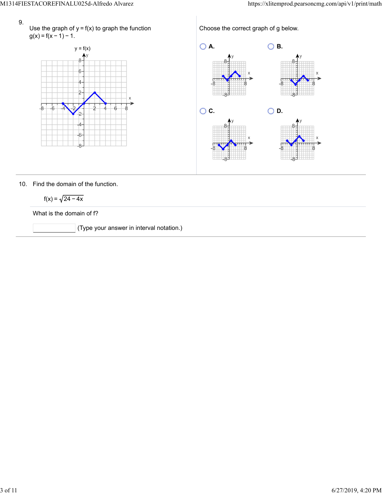- 9.
- Use the graph of  $y = f(x)$  to graph the function  $g(x) = f(x - 1) - 1.$



Choose the correct graph of g below.



## 10. Find the domain of the function.

$$
f(x) = \sqrt{24 - 4x}
$$

What is the domain of f?

(Type your answer in interval notation.)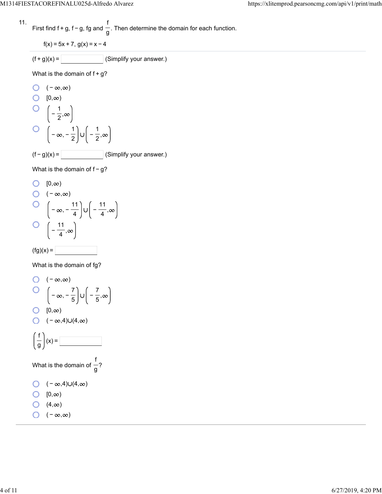11. First find 
$$
f + g
$$
,  $f - g$ ,  $fg$  and  $\frac{f}{g}$ . Then determine the domain for each function.

$$
f(x) = 5x + 7, g(x) = x - 4
$$

$$
(f+g)(x) = \boxed{\qquad \qquad} \text{(Simplify your answer.)}
$$

What is the domain of 
$$
f + g
$$
?

O 
$$
(-\infty, \infty)
$$
  
\nO  $[0, \infty)$   
\nO  $\left(-\frac{1}{2}, \infty\right)$   
\nO  $\left(-\infty, -\frac{1}{2}\right) \cup \left(-\frac{1}{2}, \infty\right)$   
\n(f - g)(x) = \_\_\_\_\_\_ (Simplify your answer.)

What is the domain of  $f-g$ ?

O [0,
$$
\infty
$$
)  
O (- $\infty$ , $\infty$ )  
O  $\left(-\infty, -\frac{11}{4}\right) \cup \left(-\frac{11}{4}, \infty\right)$   
O  $\left(-\frac{11}{4}, \infty\right)$ 

$$
(\text{fg})(x) =
$$

What is the domain of fg?

O 
$$
(-\infty, \infty)
$$
  
\nO  $\left(-\infty, -\frac{7}{5}\right) \cup \left(-\frac{7}{5}, \infty\right)$   
\nO  $[0, \infty)$   
\nO  $(-\infty, 4) \cup (4, \infty)$   
\n $\left(\frac{f}{g}\right)(x) =$   
\nWhat is the domain of  $\frac{f}{g}$ ?  
\nO  $(-\infty, 4) \cup (4, \infty)$   
\nO  $[0, \infty)$   
\nO  $(4, \infty)$   
\nO  $(-\infty, \infty)$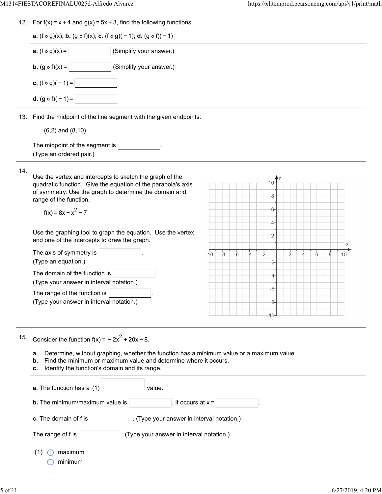12. For  $f(x) = x + 4$  and  $g(x) = 5x + 3$ , find the following functions.

| <b>a.</b> $(f \circ g)(x)$ ; <b>b.</b> $(g \circ f)(x)$ ; <b>c.</b> $(f \circ g)(-1)$ ; <b>d.</b> $(g \circ f)(-1)$                                                                                                                                                                         |                                                     |  |  |  |  |  |
|---------------------------------------------------------------------------------------------------------------------------------------------------------------------------------------------------------------------------------------------------------------------------------------------|-----------------------------------------------------|--|--|--|--|--|
| (Simplify your answer.)<br><b>a.</b> $(f \circ g)(x) =$                                                                                                                                                                                                                                     |                                                     |  |  |  |  |  |
| <b>b.</b> $(g \circ f)(x) =$<br>(Simplify your answer.)                                                                                                                                                                                                                                     |                                                     |  |  |  |  |  |
| <b>c.</b> $(f \circ g)(-1) =$                                                                                                                                                                                                                                                               |                                                     |  |  |  |  |  |
| <b>d.</b> $(g \circ f)(-1) =$                                                                                                                                                                                                                                                               |                                                     |  |  |  |  |  |
| 13. Find the midpoint of the line segment with the given endpoints.                                                                                                                                                                                                                         |                                                     |  |  |  |  |  |
| $(6,2)$ and $(8,10)$                                                                                                                                                                                                                                                                        |                                                     |  |  |  |  |  |
| The midpoint of the segment is<br>(Type an ordered pair.)                                                                                                                                                                                                                                   |                                                     |  |  |  |  |  |
| 14.<br>Use the vertex and intercepts to sketch the graph of the<br>quadratic function. Give the equation of the parabola's axis<br>of symmetry. Use the graph to determine the domain and<br>range of the function.<br>$f(x) = 8x - x^2 - 7$                                                | 8-<br>6-                                            |  |  |  |  |  |
| Use the graphing tool to graph the equation. Use the vertex<br>and one of the intercepts to draw the graph.                                                                                                                                                                                 | 4–<br>2-                                            |  |  |  |  |  |
| The axis of symmetry is $\vert$<br>(Type an equation.)                                                                                                                                                                                                                                      | $-8$<br>$-6$<br>-b<br>$-10$<br>10<br>$\overline{2}$ |  |  |  |  |  |
| The domain of the function is<br>(Type your answer in interval notation.)                                                                                                                                                                                                                   | 4-                                                  |  |  |  |  |  |
| The range of the function is<br>(Type your answer in interval notation.)                                                                                                                                                                                                                    | $-6-$<br>-8-                                        |  |  |  |  |  |
|                                                                                                                                                                                                                                                                                             |                                                     |  |  |  |  |  |
| 15.<br>Consider the function $f(x) = -2x^2 + 20x - 8$ .<br>Determine, without graphing, whether the function has a minimum value or a maximum value.<br>а.<br>Find the minimum or maximum value and determine where it occurs.<br>b.<br>Identify the function's domain and its range.<br>c. |                                                     |  |  |  |  |  |
| a. The function has a (1)<br>value.                                                                                                                                                                                                                                                         |                                                     |  |  |  |  |  |
| <b>b.</b> The minimum/maximum value is                                                                                                                                                                                                                                                      | It occurs at $x =$                                  |  |  |  |  |  |
| (Type your answer in interval notation.)<br>c. The domain of f is                                                                                                                                                                                                                           |                                                     |  |  |  |  |  |
| The range of f is<br>(Type your answer in interval notation.)                                                                                                                                                                                                                               |                                                     |  |  |  |  |  |
| (1)<br>maximum<br>minimum                                                                                                                                                                                                                                                                   |                                                     |  |  |  |  |  |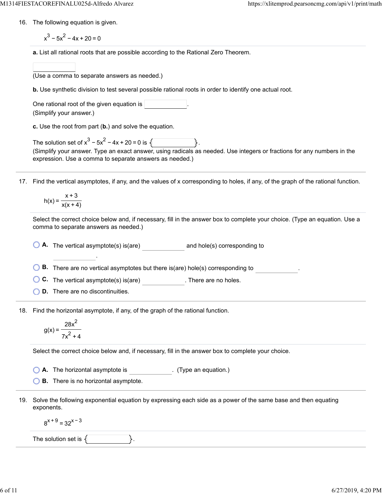- 16. The following equation is given.
	- $x^3 5x^2 4x + 20 = 0$
	- **a.** List all rational roots that are possible according to the Rational Zero Theorem.
	- (Use a comma to separate answers as needed.)
	- **b.** Use synthetic division to test several possible rational roots in order to identify one actual root.

| One rational root of the given equation is |  |
|--------------------------------------------|--|
| (Simplify your answer.)                    |  |

**c.** Use the root from part (**b.**) and solve the equation.

| The solution set of $x^3 - 5x^2 - 4x + 20 = 0$ is $\sqrt{ }$                                                            |  |  |
|-------------------------------------------------------------------------------------------------------------------------|--|--|
| (Simplify your answer. Type an exact answer, using radicals as needed. Use integers or fractions for any numbers in the |  |  |
| expression. Use a comma to separate answers as needed.)                                                                 |  |  |

17. Find the vertical asymptotes, if any, and the values of x corresponding to holes, if any, of the graph of the rational function.

$$
h(x) = \frac{x+3}{x(x+4)}
$$

Select the correct choice below and, if necessary, fill in the answer box to complete your choice. (Type an equation. Use a comma to separate answers as needed.)

**A.** The vertical asymptote(s) is(are) and hole(s) corresponding to

**B.** There are no vertical asymptotes but there is(are) hole(s) corresponding to ...

**C.** The vertical asymptote(s) is(are) **C.** There are no holes.

**D.** There are no discontinuities.

.

18. Find the horizontal asymptote, if any, of the graph of the rational function.

$$
g(x) = \frac{28x^2}{7x^2 + 4}
$$

Select the correct choice below and, if necessary, fill in the answer box to complete your choice.

**A.** The horizontal asymptote is . (Type an equation.)

**B.** There is no horizontal asymptote.

19. Solve the following exponential equation by expressing each side as a power of the same base and then equating exponents.

 $8^{x+9}$  = 32<sup>x-3</sup>

The solution set is  $\{\vert$   $\vert$   $\vert$ .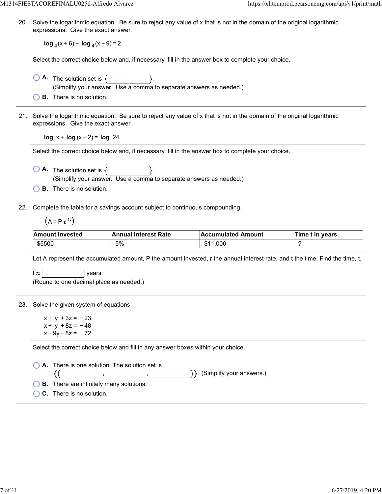20. Solve the logarithmic equation. Be sure to reject any value of x that is not in the domain of the original logarithmic expressions. Give the exact answer.

**log**  $_4(x+6)$  − **log**  $_4(x-9)$  = 2

Select the correct choice below and, if necessary, fill in the answer box to complete your choice.

- $\bigcirc$  **A.** The solution set is  $\{$   $\}$ . (Simplify your answer. Use a comma to separate answers as needed.)
- **B.** There is no solution.
- 21. Solve the logarithmic equation. Be sure to reject any value of x that is not in the domain of the original logarithmic expressions. Give the exact answer.

**log** x + **log** (x − 2) = **log** 24

Select the correct choice below and, if necessary, fill in the answer box to complete your choice.

 $\bigcirc$  **A.** The solution set is  $\{$   $\}$ . (Simplify your answer. Use a comma to separate answers as needed.)

**B.** There is no solution.

22. Complete the table for a savings account subject to continuous compounding.

$$
(A = P e^{rt})
$$

| <b>Amount Invested</b> | <b>Annual Interest Rate</b> | <b>Accumulated Amount</b> | Time t in years |
|------------------------|-----------------------------|---------------------------|-----------------|
| \$5500                 | 5%                          | \$11,000                  |                 |

Let A represent the accumulated amount, P the amount invested, r the annual interest rate, and t the time. Find the time, t.

 $t \approx$  | years

(Round to one decimal place as needed.)

23. Solve the given system of equations.

 $x + y + 3z = -23$  $x + y + 8z = -48$  $x - 9y - 8z = 72$ 

Select the correct choice below and fill in any answer boxes within your choice.

| $\bigcirc$ <b>A.</b> There is one solution. The solution set is |                                   |
|-----------------------------------------------------------------|-----------------------------------|
|                                                                 | $\{\}$ . (Simplify your answers.) |
| $\bigcirc$ B. There are infinitely many solutions.              |                                   |
| $\bigcirc$ C. There is no solution.                             |                                   |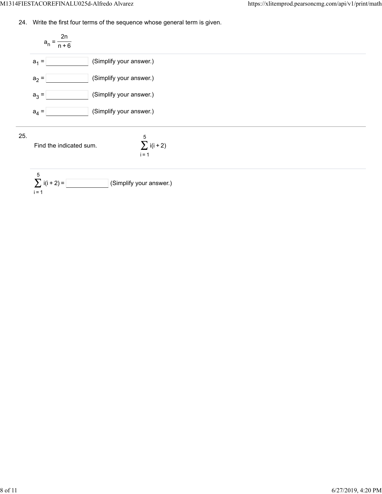24. Write the first four terms of the sequence whose general term is given.

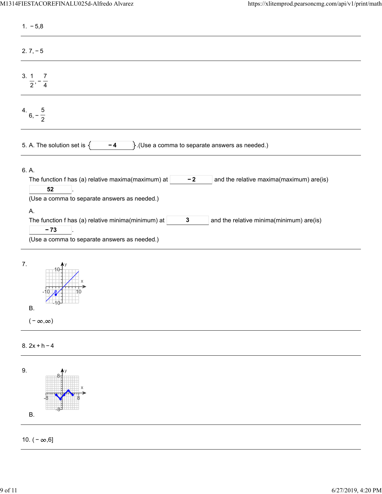| $1. -5,8$                                                                                                                                                                                                                                                                                                                                              |
|--------------------------------------------------------------------------------------------------------------------------------------------------------------------------------------------------------------------------------------------------------------------------------------------------------------------------------------------------------|
| $2.7, -5$                                                                                                                                                                                                                                                                                                                                              |
| 3.1<br>7<br>$\frac{1}{2}$ , $\frac{1}{4}$                                                                                                                                                                                                                                                                                                              |
| $6, -\frac{5}{2}$                                                                                                                                                                                                                                                                                                                                      |
| 5. A. The solution set is $\{$<br>$\}$ . (Use a comma to separate answers as needed.)<br>$-4$                                                                                                                                                                                                                                                          |
| 6. A.<br>The function f has (a) relative maxima(maximum) at<br>$-2$<br>and the relative maxima(maximum) are(is)<br>52<br>(Use a comma to separate answers as needed.)<br>Α.<br>The function f has (a) relative minima(minimum) at<br>and the relative minima(minimum) are(is)<br>$\mathbf{3}$<br>$-73$<br>(Use a comma to separate answers as needed.) |
| 7.<br>$\bigcup_{10}$<br><b>B.</b><br>$(-\infty,\infty)$                                                                                                                                                                                                                                                                                                |
| $8.2x + h - 4$                                                                                                                                                                                                                                                                                                                                         |

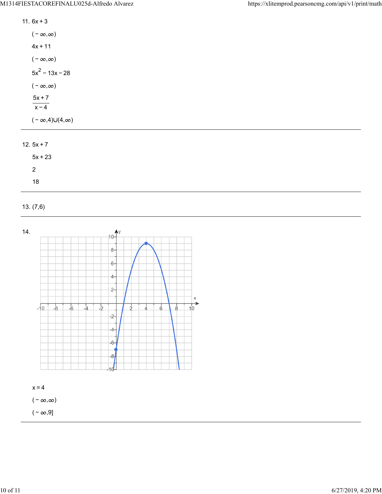| 11. $6x + 3$ |  |
|--------------|--|
|--------------|--|

| $(-\infty,\infty)$            |
|-------------------------------|
| 4x + 11                       |
| $(-\infty,\infty)$            |
| $5x^2 - 13x - 28$             |
| $(-\infty,\infty)$            |
| $5x + 7$<br>$x - 4$           |
| $(-\infty,4) \cup (4,\infty)$ |

## 12.  $5x + 7$

| $5x + 23$ |  |
|-----------|--|
| 2         |  |
| 18        |  |

## 13. (7,6)



( –  $\infty, 9$ ]